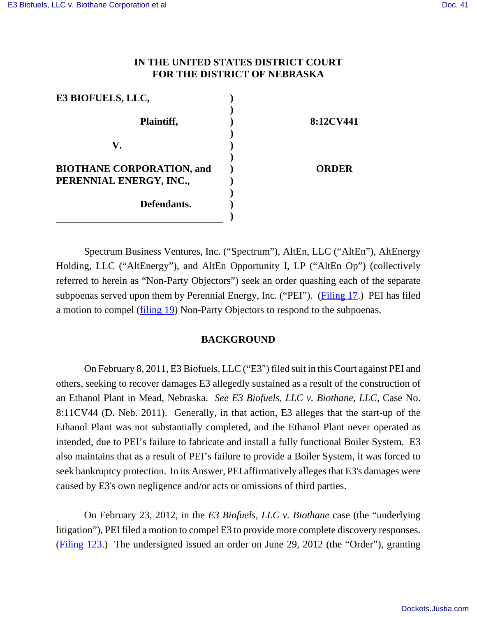## **IN THE UNITED STATES DISTRICT COURT FOR THE DISTRICT OF NEBRASKA**

| E3 BIOFUELS, LLC,                                           |              |
|-------------------------------------------------------------|--------------|
| Plaintiff,                                                  | 8:12CV441    |
| $\mathbf{V}_{\bullet}$                                      |              |
| <b>BIOTHANE CORPORATION, and</b><br>PERENNIAL ENERGY, INC., | <b>ORDER</b> |
| Defendants.                                                 |              |
|                                                             |              |

Spectrum Business Ventures, Inc. ("Spectrum"), AltEn, LLC ("AltEn"), AltEnergy Holding, LLC ("AltEnergy"), and AltEn Opportunity I, LP ("AltEn Op") (collectively referred to herein as "Non-Party Objectors") seek an order quashing each of the separate subpoenas served upon them by Perennial Energy, Inc. ("PEI"). (Filing 17.) PEI has filed a motion to compel (filing 19) Non-Party Objectors to respond to the subpoenas.

#### **BACKGROUND**

On February 8, 2011, E3 Biofuels, LLC ("E3") filed suit in this Court against PEI and others, seeking to recover damages E3 allegedly sustained as a result of the construction of an Ethanol Plant in Mead, Nebraska. *See E3 Biofuels, LLC v. Biothane, LLC*, Case No. 8:11CV44 (D. Neb. 2011). Generally, in that action, E3 alleges that the start-up of the Ethanol Plant was not substantially completed, and the Ethanol Plant never operated as intended, due to PEI's failure to fabricate and install a fully functional Boiler System. E3 also maintains that as a result of PEI's failure to provide a Boiler System, it was forced to seek bankruptcy protection. In its Answer, PEI affirmatively alleges that E3's damages were caused by E3's own negligence and/or acts or omissions of third parties.

On February 23, 2012, in the *E3 Biofuels, LLC v. Biothane* case (the "underlying litigation"), PEI filed a motion to compel E3 to provide more complete discovery responses. (Filing 123.) The undersigned issued an order on June 29, 2012 (the "Order"), granting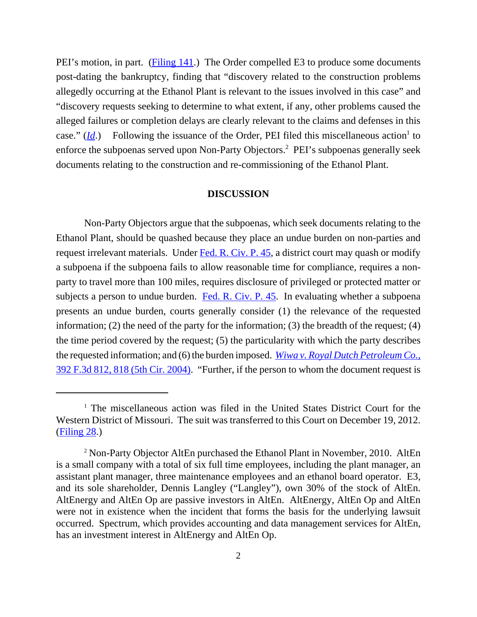PEI's motion, in part. (Filing 141.) The Order compelled E3 to produce some documents post-dating the bankruptcy, finding that "discovery related to the construction problems allegedly occurring at the Ethanol Plant is relevant to the issues involved in this case" and "discovery requests seeking to determine to what extent, if any, other problems caused the alleged failures or completion delays are clearly relevant to the claims and defenses in this case."  $(\underline{Id})$  Following the issuance of the Order, PEI filed this miscellaneous action<sup>1</sup> to enforce the subpoenas served upon Non-Party Objectors.<sup>2</sup> PEI's subpoenas generally seek documents relating to the construction and re-commissioning of the Ethanol Plant.

#### **DISCUSSION**

Non-Party Objectors argue that the subpoenas, which seek documents relating to the Ethanol Plant, should be quashed because they place an undue burden on non-parties and request irrelevant materials. Under Fed. R. Civ. P. 45, a district court may quash or modify a subpoena if the subpoena fails to allow reasonable time for compliance, requires a nonparty to travel more than 100 miles, requires disclosure of privileged or protected matter or subjects a person to undue burden. Fed. R. Civ. P. 45. In evaluating whether a subpoena presents an undue burden, courts generally consider (1) the relevance of the requested information; (2) the need of the party for the information; (3) the breadth of the request; (4) the time period covered by the request; (5) the particularity with which the party describes the requested information; and (6) the burden imposed. *Wiwa v. Royal Dutch Petroleum Co.*, 392 F.3d 812, 818 (5th Cir. 2004). "Further, if the person to whom the document request is

<sup>&</sup>lt;sup>1</sup> The miscellaneous action was filed in the United States District Court for the Western District of Missouri. The suit was transferred to this Court on December 19, 2012. (Filing 28.)

<sup>&</sup>lt;sup>2</sup> Non-Party Objector AltEn purchased the Ethanol Plant in November, 2010. AltEn is a small company with a total of six full time employees, including the plant manager, an assistant plant manager, three maintenance employees and an ethanol board operator. E3, and its sole shareholder, Dennis Langley ("Langley"), own 30% of the stock of AltEn. AltEnergy and AltEn Op are passive investors in AltEn. AltEnergy, AltEn Op and AltEn were not in existence when the incident that forms the basis for the underlying lawsuit occurred. Spectrum, which provides accounting and data management services for AltEn, has an investment interest in AltEnergy and AltEn Op.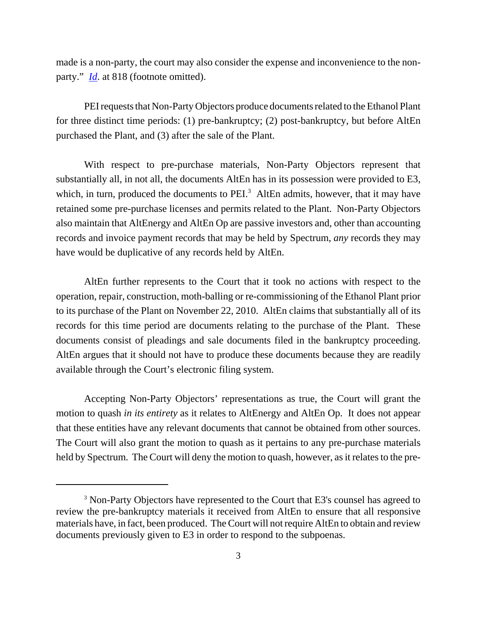made is a non-party, the court may also consider the expense and inconvenience to the nonparty." *<u>Id</u>*. at 818 (footnote omitted).

PEI requests that Non-Party Objectors produce documents related to the Ethanol Plant for three distinct time periods: (1) pre-bankruptcy; (2) post-bankruptcy, but before AltEn purchased the Plant, and (3) after the sale of the Plant.

With respect to pre-purchase materials, Non-Party Objectors represent that substantially all, in not all, the documents AltEn has in its possession were provided to E3, which, in turn, produced the documents to  $PEI<sup>3</sup>$  AltEn admits, however, that it may have retained some pre-purchase licenses and permits related to the Plant. Non-Party Objectors also maintain that AltEnergy and AltEn Op are passive investors and, other than accounting records and invoice payment records that may be held by Spectrum, *any* records they may have would be duplicative of any records held by AltEn.

AltEn further represents to the Court that it took no actions with respect to the operation, repair, construction, moth-balling or re-commissioning of the Ethanol Plant prior to its purchase of the Plant on November 22, 2010. AltEn claims that substantially all of its records for this time period are documents relating to the purchase of the Plant. These documents consist of pleadings and sale documents filed in the bankruptcy proceeding. AltEn argues that it should not have to produce these documents because they are readily available through the Court's electronic filing system.

Accepting Non-Party Objectors' representations as true, the Court will grant the motion to quash *in its entirety* as it relates to AltEnergy and AltEn Op. It does not appear that these entities have any relevant documents that cannot be obtained from other sources. The Court will also grant the motion to quash as it pertains to any pre-purchase materials held by Spectrum. The Court will deny the motion to quash, however, as it relates to the pre-

<sup>&</sup>lt;sup>3</sup> Non-Party Objectors have represented to the Court that E3's counsel has agreed to review the pre-bankruptcy materials it received from AltEn to ensure that all responsive materials have, in fact, been produced. The Court will not require AltEn to obtain and review documents previously given to E3 in order to respond to the subpoenas.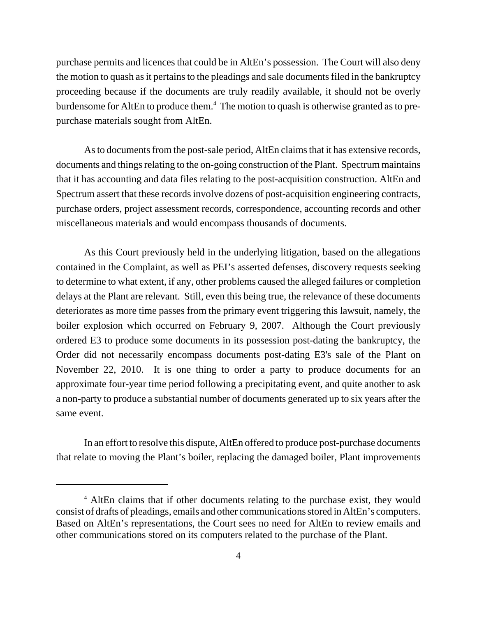purchase permits and licences that could be in AltEn's possession. The Court will also deny the motion to quash as it pertains to the pleadings and sale documents filed in the bankruptcy proceeding because if the documents are truly readily available, it should not be overly burdensome for AltEn to produce them.<sup>4</sup> The motion to quash is otherwise granted as to prepurchase materials sought from AltEn.

As to documents from the post-sale period, AltEn claims that it has extensive records, documents and things relating to the on-going construction of the Plant. Spectrum maintains that it has accounting and data files relating to the post-acquisition construction. AltEn and Spectrum assert that these records involve dozens of post-acquisition engineering contracts, purchase orders, project assessment records, correspondence, accounting records and other miscellaneous materials and would encompass thousands of documents.

As this Court previously held in the underlying litigation, based on the allegations contained in the Complaint, as well as PEI's asserted defenses, discovery requests seeking to determine to what extent, if any, other problems caused the alleged failures or completion delays at the Plant are relevant. Still, even this being true, the relevance of these documents deteriorates as more time passes from the primary event triggering this lawsuit, namely, the boiler explosion which occurred on February 9, 2007. Although the Court previously ordered E3 to produce some documents in its possession post-dating the bankruptcy, the Order did not necessarily encompass documents post-dating E3's sale of the Plant on November 22, 2010. It is one thing to order a party to produce documents for an approximate four-year time period following a precipitating event, and quite another to ask a non-party to produce a substantial number of documents generated up to six years after the same event.

In an effort to resolve this dispute, AltEn offered to produce post-purchase documents that relate to moving the Plant's boiler, replacing the damaged boiler, Plant improvements

<sup>&</sup>lt;sup>4</sup> AltEn claims that if other documents relating to the purchase exist, they would consist of drafts of pleadings, emails and other communications stored in AltEn's computers. Based on AltEn's representations, the Court sees no need for AltEn to review emails and other communications stored on its computers related to the purchase of the Plant.